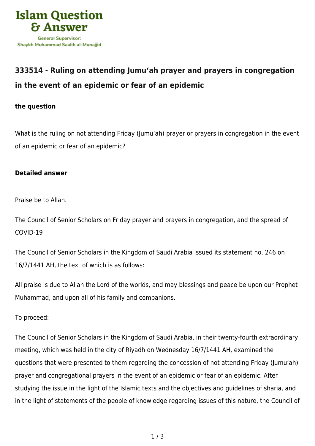

## **[333514 - Ruling on attending Jumu'ah prayer and prayers in congregation](https://islamqa.com/en/answers/333514/ruling-on-attending-jumuah-prayer-and-prayers-in-congregation-in-the-event-of-an-epidemic-or-fear-of-an-epidemic) [in the event of an epidemic or fear of an epidemic](https://islamqa.com/en/answers/333514/ruling-on-attending-jumuah-prayer-and-prayers-in-congregation-in-the-event-of-an-epidemic-or-fear-of-an-epidemic)**

## **the question**

What is the ruling on not attending Friday (Jumu'ah) prayer or prayers in congregation in the event of an epidemic or fear of an epidemic?

## **Detailed answer**

Praise be to Allah.

The Council of Senior Scholars on Friday prayer and prayers in congregation, and the spread of COVID-19

The Council of Senior Scholars in the Kingdom of Saudi Arabia issued its statement no. 246 on 16/7/1441 AH, the text of which is as follows:

All praise is due to Allah the Lord of the worlds, and may blessings and peace be upon our Prophet Muhammad, and upon all of his family and companions.

To proceed:

The Council of Senior Scholars in the Kingdom of Saudi Arabia, in their twenty-fourth extraordinary meeting, which was held in the city of Riyadh on Wednesday 16/7/1441 AH, examined the questions that were presented to them regarding the concession of not attending Friday (Jumu'ah) prayer and congregational prayers in the event of an epidemic or fear of an epidemic. After studying the issue in the light of the Islamic texts and the objectives and guidelines of sharia, and in the light of statements of the people of knowledge regarding issues of this nature, the Council of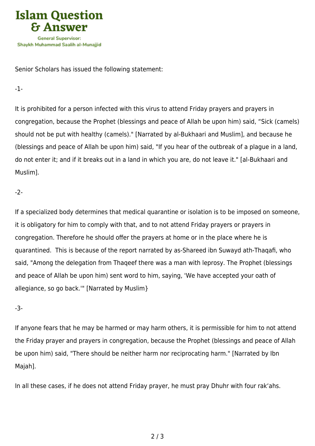

Senior Scholars has issued the following statement:

-1-

It is prohibited for a person infected with this virus to attend Friday prayers and prayers in congregation, because the Prophet (blessings and peace of Allah be upon him) said, "Sick (camels) should not be put with healthy (camels)." [Narrated by al-Bukhaari and Muslim], and because he (blessings and peace of Allah be upon him) said, "If you hear of the outbreak of a plague in a land, do not enter it; and if it breaks out in a land in which you are, do not leave it." [al-Bukhaari and Muslim].

-2-

If a specialized body determines that medical quarantine or isolation is to be imposed on someone, it is obligatory for him to comply with that, and to not attend Friday prayers or prayers in congregation. Therefore he should offer the prayers at home or in the place where he is quarantined. This is because of the report narrated by as-Shareed ibn Suwayd ath-Thaqafi, who said, "Among the delegation from Thaqeef there was a man with leprosy. The Prophet (blessings and peace of Allah be upon him) sent word to him, saying, 'We have accepted your oath of allegiance, so go back.'" [Narrated by Muslim}

-3-

If anyone fears that he may be harmed or may harm others, it is permissible for him to not attend the Friday prayer and prayers in congregation, because the Prophet (blessings and peace of Allah be upon him) said, "There should be neither harm nor reciprocating harm." [Narrated by Ibn Majah].

In all these cases, if he does not attend Friday prayer, he must pray Dhuhr with four rak'ahs.